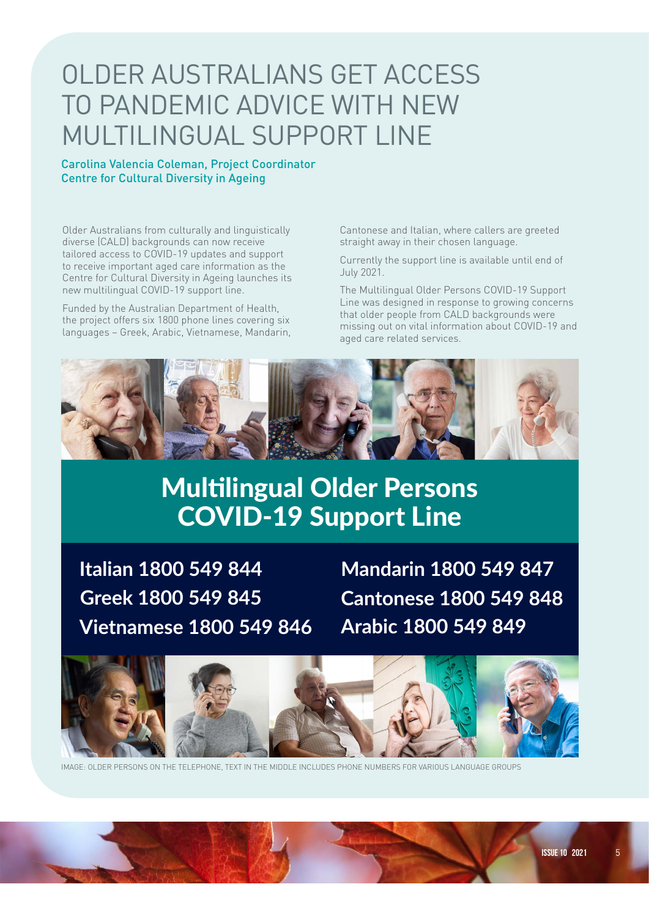## OLDER AUSTRALIANS GET ACCESS TO PANDEMIC ADVICE WITH NEW MULTILINGUAL SUPPORT LINE

## Carolina Valencia Coleman, Project Coordinator Centre for Cultural Diversity in Ageing

Older Australians from culturally and linguistically diverse (CALD) backgrounds can now receive tailored access to COVID-19 updates and support to receive important aged care information as the Centre for Cultural Diversity in Ageing launches its new multilingual COVID-19 support line.

Funded by the Australian Department of Health, the project offers six 1800 phone lines covering six languages – Greek, Arabic, Vietnamese, Mandarin, Cantonese and Italian, where callers are greeted straight away in their chosen language.

Currently the support line is available until end of July 2021.

The Multilingual Older Persons COVID-19 Support Line was designed in response to growing concerns that older people from CALD backgrounds were missing out on vital information about COVID-19 and aged care related services.



## Multilingual Older Persons COVID-19 Support Line

 **Italian 1800 549 844 Greek 1800 549 845 Vietnamese 1800 549 846**

Mandarin and Vietnamese. All calls are free.

download brochures in the six languages.

**Arabic 1800 549 849 Cantonese 1800 549 848 Mandarin 1800 549 847** 



IMAGE: OLDER PERSONS ON THE TELEPHONE, TEXT IN THE MIDDLE INCLUDES PHONE NUMBERS FOR VARIOUS LANGUAGE GROUPS

and other support services. It is available in Arabic, Cantonese, Greek, Italian,

visit www.picacalliance.org for more information about the support line and to support line and to support line